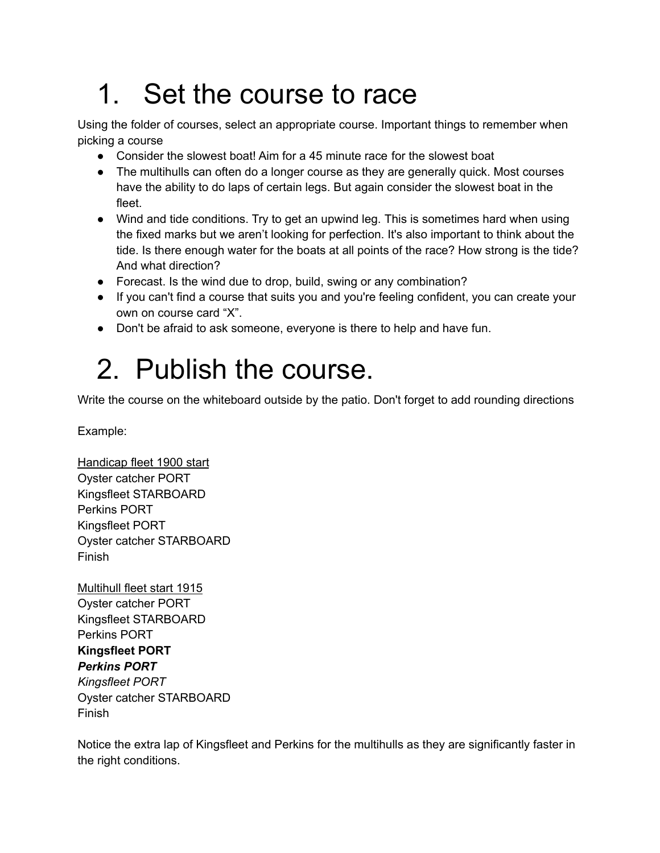## 1. Set the course to race

Using the folder of courses, select an appropriate course. Important things to remember when picking a course

- Consider the slowest boat! Aim for a 45 minute race for the slowest boat
- The multihulls can often do a longer course as they are generally quick. Most courses have the ability to do laps of certain legs. But again consider the slowest boat in the fleet.
- Wind and tide conditions. Try to get an upwind leg. This is sometimes hard when using the fixed marks but we aren't looking for perfection. It's also important to think about the tide. Is there enough water for the boats at all points of the race? How strong is the tide? And what direction?
- Forecast. Is the wind due to drop, build, swing or any combination?
- If you can't find a course that suits you and you're feeling confident, you can create your own on course card "X".
- Don't be afraid to ask someone, everyone is there to help and have fun.

## 2. Publish the course.

Write the course on the whiteboard outside by the patio. Don't forget to add rounding directions

Example:

Handicap fleet 1900 start Oyster catcher PORT Kingsfleet STARBOARD Perkins PORT Kingsfleet PORT Oyster catcher STARBOARD Finish

Multihull fleet start 1915 Oyster catcher PORT Kingsfleet STARBOARD Perkins PORT **Kingsfleet PORT** *Perkins PORT Kingsfleet PORT* Oyster catcher STARBOARD Finish

Notice the extra lap of Kingsfleet and Perkins for the multihulls as they are significantly faster in the right conditions.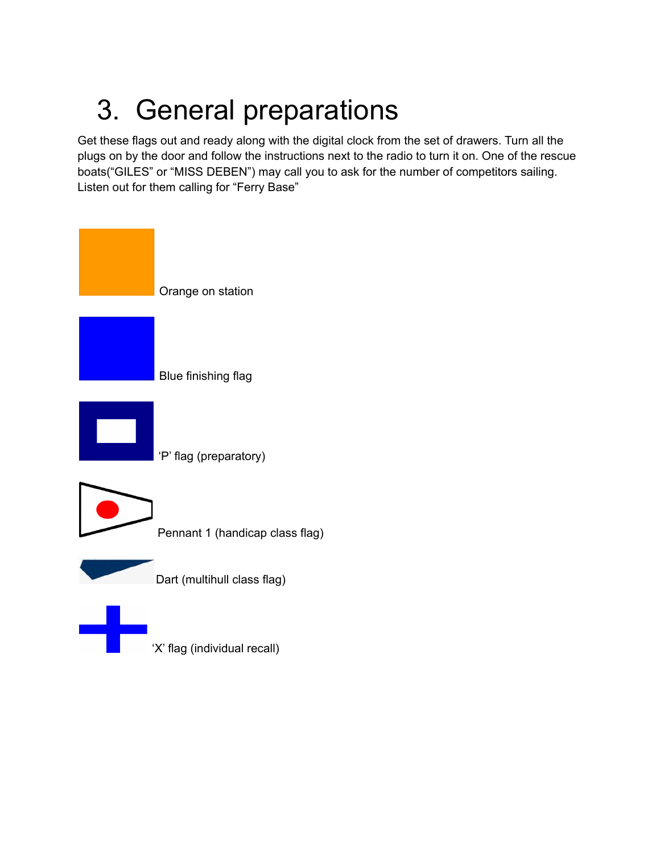# 3. General preparations

Get these flags out and ready along with the digital clock from the set of drawers. Turn all the plugs on by the door and follow the instructions next to the radio to turn it on. One of the rescue boats("GILES" or "MISS DEBEN") may call you to ask for the number of competitors sailing. Listen out for them calling for "Ferry Base"

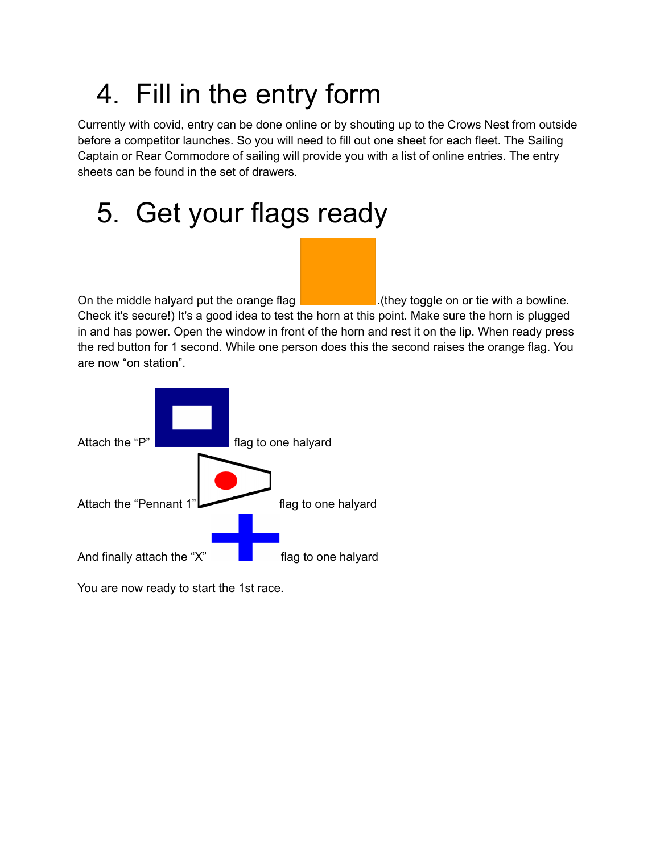# 4. Fill in the entry form

Currently with covid, entry can be done online or by shouting up to the Crows Nest from outside before a competitor launches. So you will need to fill out one sheet for each fleet. The Sailing Captain or Rear Commodore of sailing will provide you with a list of online entries. The entry sheets can be found in the set of drawers.

#### 5. Get your flags ready

On the middle halyard put the orange flag  $\vert$  . The set of they toggle on or tie with a bowline. Check it's secure!) It's a good idea to test the horn at this point. Make sure the horn is plugged in and has power. Open the window in front of the horn and rest it on the lip. When ready press the red button for 1 second. While one person does this the second raises the orange flag. You are now "on station".



You are now ready to start the 1st race.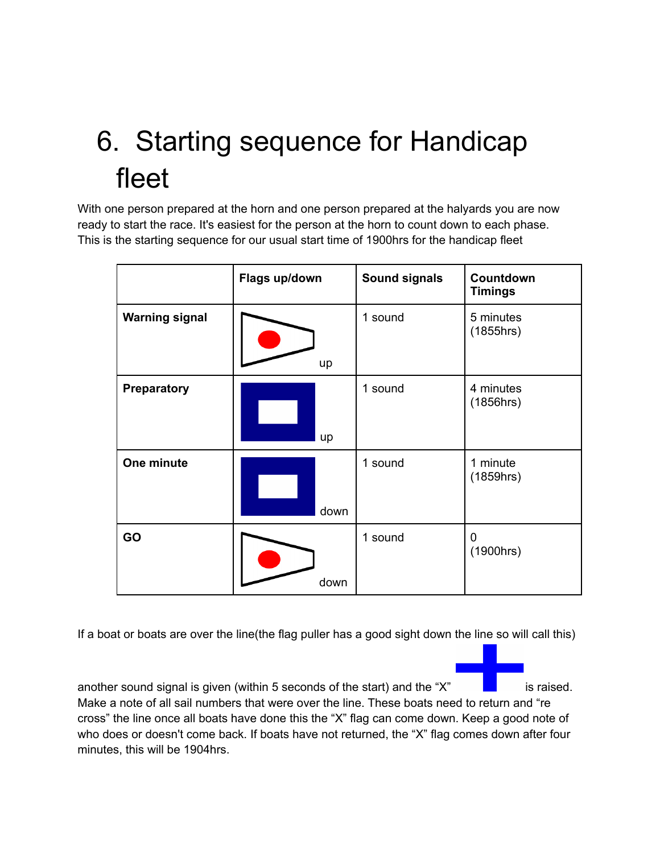# 6. Starting sequence for Handicap fleet

With one person prepared at the horn and one person prepared at the halyards you are now ready to start the race. It's easiest for the person at the horn to count down to each phase. This is the starting sequence for our usual start time of 1900hrs for the handicap fleet

|                       | Flags up/down | <b>Sound signals</b> | Countdown<br><b>Timings</b> |
|-----------------------|---------------|----------------------|-----------------------------|
| <b>Warning signal</b> | up            | 1 sound              | 5 minutes<br>(1855hrs)      |
| <b>Preparatory</b>    | up            | 1 sound              | 4 minutes<br>(1856hrs)      |
| One minute            | down          | 1 sound              | 1 minute<br>(1859hrs)       |
| GO                    | down          | 1 sound              | 0<br>(1900hrs)              |

If a boat or boats are over the line(the flag puller has a good sight down the line so will call this)

another sound signal is given (within 5 seconds of the start) and the " $X$ " is raised. Make a note of all sail numbers that were over the line. These boats need to return and "re cross" the line once all boats have done this the "X" flag can come down. Keep a good note of who does or doesn't come back. If boats have not returned, the "X" flag comes down after four minutes, this will be 1904hrs.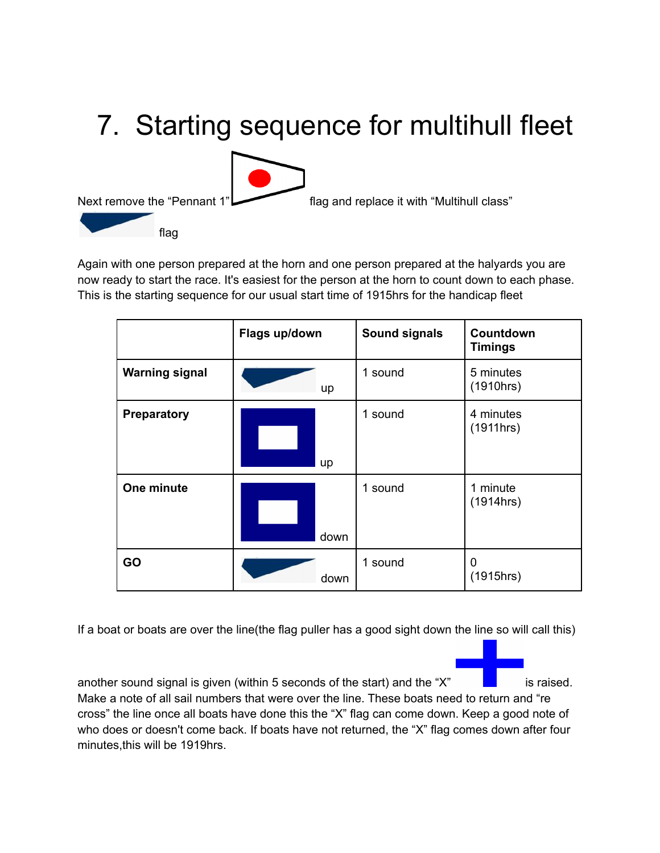# 7. Starting sequence for multihull fleet Next remove the "Pennant 1" flag and replace it with "Multihull class" flag

Again with one person prepared at the horn and one person prepared at the halyards you are now ready to start the race. It's easiest for the person at the horn to count down to each phase. This is the starting sequence for our usual start time of 1915hrs for the handicap fleet

|                       | Flags up/down | <b>Sound signals</b> | Countdown<br><b>Timings</b> |
|-----------------------|---------------|----------------------|-----------------------------|
| <b>Warning signal</b> | up            | 1 sound              | 5 minutes<br>(1910hrs)      |
| Preparatory           | up            | 1 sound              | 4 minutes<br>(1911hrs)      |
| One minute            | down          | 1 sound              | 1 minute<br>(1914hrs)       |
| GO                    | down          | 1 sound              | 0<br>(1915hrs)              |

If a boat or boats are over the line(the flag puller has a good sight down the line so will call this)

another sound signal is given (within 5 seconds of the start) and the " $X$ " is raised. Make a note of all sail numbers that were over the line. These boats need to return and "re cross" the line once all boats have done this the "X" flag can come down. Keep a good note of who does or doesn't come back. If boats have not returned, the "X" flag comes down after four minutes,this will be 1919hrs.